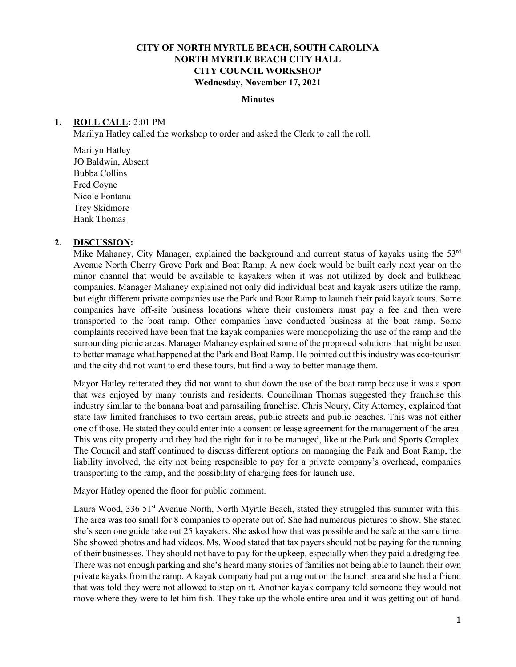## **CITY OF NORTH MYRTLE BEACH, SOUTH CAROLINA NORTH MYRTLE BEACH CITY HALL CITY COUNCIL WORKSHOP Wednesday, November 17, 2021**

## **Minutes**

## **1. ROLL CALL:** 2:01 PM

Marilyn Hatley called the workshop to order and asked the Clerk to call the roll.

Marilyn Hatley JO Baldwin, Absent Bubba Collins Fred Coyne Nicole Fontana Trey Skidmore Hank Thomas

## **2. DISCUSSION:**

Mike Mahaney, City Manager, explained the background and current status of kayaks using the  $53<sup>rd</sup>$ Avenue North Cherry Grove Park and Boat Ramp. A new dock would be built early next year on the minor channel that would be available to kayakers when it was not utilized by dock and bulkhead companies. Manager Mahaney explained not only did individual boat and kayak users utilize the ramp, but eight different private companies use the Park and Boat Ramp to launch their paid kayak tours. Some companies have off-site business locations where their customers must pay a fee and then were transported to the boat ramp. Other companies have conducted business at the boat ramp. Some complaints received have been that the kayak companies were monopolizing the use of the ramp and the surrounding picnic areas. Manager Mahaney explained some of the proposed solutions that might be used to better manage what happened at the Park and Boat Ramp. He pointed out this industry was eco-tourism and the city did not want to end these tours, but find a way to better manage them.

Mayor Hatley reiterated they did not want to shut down the use of the boat ramp because it was a sport that was enjoyed by many tourists and residents. Councilman Thomas suggested they franchise this industry similar to the banana boat and parasailing franchise. Chris Noury, City Attorney, explained that state law limited franchises to two certain areas, public streets and public beaches. This was not either one of those. He stated they could enter into a consent or lease agreement for the management of the area. This was city property and they had the right for it to be managed, like at the Park and Sports Complex. The Council and staff continued to discuss different options on managing the Park and Boat Ramp, the liability involved, the city not being responsible to pay for a private company's overhead, companies transporting to the ramp, and the possibility of charging fees for launch use.

Mayor Hatley opened the floor for public comment.

Laura Wood, 336 51<sup>st</sup> Avenue North, North Myrtle Beach, stated they struggled this summer with this. The area was too small for 8 companies to operate out of. She had numerous pictures to show. She stated she's seen one guide take out 25 kayakers. She asked how that was possible and be safe at the same time. She showed photos and had videos. Ms. Wood stated that tax payers should not be paying for the running of their businesses. They should not have to pay for the upkeep, especially when they paid a dredging fee. There was not enough parking and she's heard many stories of families not being able to launch their own private kayaks from the ramp. A kayak company had put a rug out on the launch area and she had a friend that was told they were not allowed to step on it. Another kayak company told someone they would not move where they were to let him fish. They take up the whole entire area and it was getting out of hand.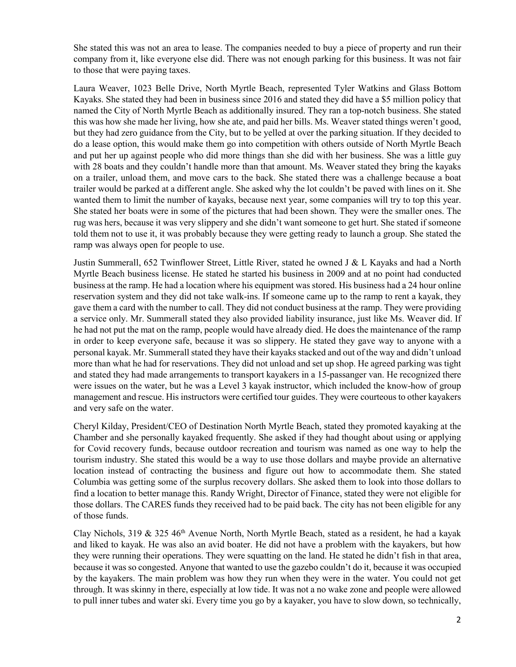She stated this was not an area to lease. The companies needed to buy a piece of property and run their company from it, like everyone else did. There was not enough parking for this business. It was not fair to those that were paying taxes.

Laura Weaver, 1023 Belle Drive, North Myrtle Beach, represented Tyler Watkins and Glass Bottom Kayaks. She stated they had been in business since 2016 and stated they did have a \$5 million policy that named the City of North Myrtle Beach as additionally insured. They ran a top-notch business. She stated this was how she made her living, how she ate, and paid her bills. Ms. Weaver stated things weren't good, but they had zero guidance from the City, but to be yelled at over the parking situation. If they decided to do a lease option, this would make them go into competition with others outside of North Myrtle Beach and put her up against people who did more things than she did with her business. She was a little guy with 28 boats and they couldn't handle more than that amount. Ms. Weaver stated they bring the kayaks on a trailer, unload them, and move cars to the back. She stated there was a challenge because a boat trailer would be parked at a different angle. She asked why the lot couldn't be paved with lines on it. She wanted them to limit the number of kayaks, because next year, some companies will try to top this year. She stated her boats were in some of the pictures that had been shown. They were the smaller ones. The rug was hers, because it was very slippery and she didn't want someone to get hurt. She stated if someone told them not to use it, it was probably because they were getting ready to launch a group. She stated the ramp was always open for people to use.

Justin Summerall, 652 Twinflower Street, Little River, stated he owned J & L Kayaks and had a North Myrtle Beach business license. He stated he started his business in 2009 and at no point had conducted business at the ramp. He had a location where his equipment was stored. His business had a 24 hour online reservation system and they did not take walk-ins. If someone came up to the ramp to rent a kayak, they gave them a card with the number to call. They did not conduct business at the ramp. They were providing a service only. Mr. Summerall stated they also provided liability insurance, just like Ms. Weaver did. If he had not put the mat on the ramp, people would have already died. He does the maintenance of the ramp in order to keep everyone safe, because it was so slippery. He stated they gave way to anyone with a personal kayak. Mr. Summerall stated they have their kayaks stacked and out of the way and didn't unload more than what he had for reservations. They did not unload and set up shop. He agreed parking was tight and stated they had made arrangements to transport kayakers in a 15-passanger van. He recognized there were issues on the water, but he was a Level 3 kayak instructor, which included the know-how of group management and rescue. His instructors were certified tour guides. They were courteous to other kayakers and very safe on the water.

Cheryl Kilday, President/CEO of Destination North Myrtle Beach, stated they promoted kayaking at the Chamber and she personally kayaked frequently. She asked if they had thought about using or applying for Covid recovery funds, because outdoor recreation and tourism was named as one way to help the tourism industry. She stated this would be a way to use those dollars and maybe provide an alternative location instead of contracting the business and figure out how to accommodate them. She stated Columbia was getting some of the surplus recovery dollars. She asked them to look into those dollars to find a location to better manage this. Randy Wright, Director of Finance, stated they were not eligible for those dollars. The CARES funds they received had to be paid back. The city has not been eligible for any of those funds.

Clay Nichols, 319 & 325 46th Avenue North, North Myrtle Beach, stated as a resident, he had a kayak and liked to kayak. He was also an avid boater. He did not have a problem with the kayakers, but how they were running their operations. They were squatting on the land. He stated he didn't fish in that area, because it was so congested. Anyone that wanted to use the gazebo couldn't do it, because it was occupied by the kayakers. The main problem was how they run when they were in the water. You could not get through. It was skinny in there, especially at low tide. It was not a no wake zone and people were allowed to pull inner tubes and water ski. Every time you go by a kayaker, you have to slow down, so technically,